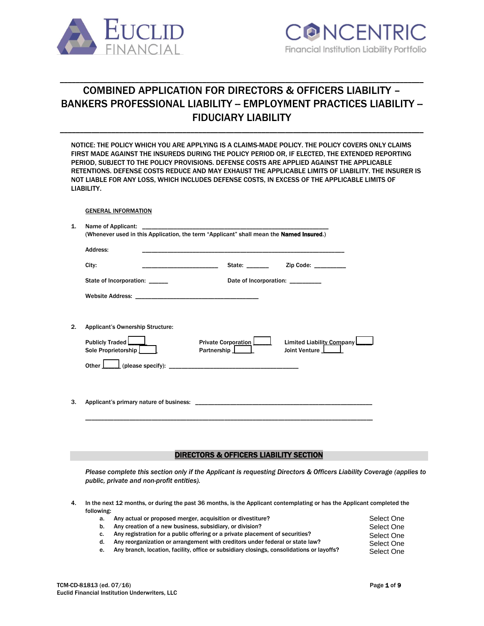



# COMBINED APPLICATION FOR DIRECTORS & OFFICERS LIABILITY – BANKERS PROFESSIONAL LIABILITY -- EMPLOYMENT PRACTICES LIABILITY --FIDUCIARY LIABILITY

\_\_\_\_\_\_\_\_\_\_\_\_\_\_\_\_\_\_\_\_\_\_\_\_\_\_\_\_\_\_\_\_\_\_\_\_\_\_\_\_\_\_\_\_\_\_\_\_\_\_\_\_\_\_\_\_\_\_\_\_\_\_\_\_\_\_\_\_\_\_\_\_\_\_\_\_\_\_\_\_\_\_\_\_\_\_\_\_\_\_\_\_

\_\_\_\_\_\_\_\_\_\_\_\_\_\_\_\_\_\_\_\_\_\_\_\_\_\_\_\_\_\_\_\_\_\_\_\_\_\_\_\_\_\_\_\_\_\_\_\_\_\_\_\_\_\_\_\_\_\_\_\_\_\_\_\_\_\_\_\_\_\_\_\_\_\_\_\_\_\_\_\_\_\_\_\_\_\_\_\_\_\_\_\_

|    | NOTICE: THE POLICY WHICH YOU ARE APPLYING IS A CLAIMS-MADE POLICY. THE POLICY COVERS ONLY CLAIMS    |
|----|-----------------------------------------------------------------------------------------------------|
|    | FIRST MADE AGAINST THE INSUREDS DURING THE POLICY PERIOD OR. IF ELECTED. THE EXTENDED REPORTING     |
|    | PERIOD. SUBJECT TO THE POLICY PROVISIONS. DEFENSE COSTS ARE APPLIED AGAINST THE APPLICABLE          |
|    | RETENTIONS. DEFENSE COSTS REDUCE AND MAY EXHAUST THE APPLICABLE LIMITS OF LIABILITY. THE INSURER IS |
|    | NOT LIABLE FOR ANY LOSS. WHICH INCLUDES DEFENSE COSTS. IN EXCESS OF THE APPLICABLE LIMITS OF        |
|    | LIABILITY.                                                                                          |
|    |                                                                                                     |
|    | <b>GENERAL INFORMATION</b>                                                                          |
| 1. |                                                                                                     |
|    | (Whenever used in this Application, the term "Applicant" shall mean the <b>Named Insured.</b> )     |

|    | Address:                                |                                    |                                                         |
|----|-----------------------------------------|------------------------------------|---------------------------------------------------------|
|    | City:                                   | State: _______                     | Zip Code: $\frac{1}{2}$                                 |
|    | State of Incorporation: ______          | Date of Incorporation: _________   |                                                         |
|    |                                         |                                    |                                                         |
|    |                                         |                                    |                                                         |
| 2. | <b>Applicant's Ownership Structure:</b> |                                    |                                                         |
|    | Publicly Traded<br>Sole Proprietorship  | Private Corporation<br>Partnership | Limited Liability Company<br>Joint Venture <b>Leage</b> |
|    | Other $\Box$                            |                                    |                                                         |
|    |                                         |                                    |                                                         |
| 3. | Applicant's primary nature of business: |                                    |                                                         |

\_\_\_\_\_\_\_\_\_\_\_\_\_\_\_\_\_\_\_\_\_\_\_\_\_\_\_\_\_\_\_\_\_\_\_\_\_\_\_\_\_\_\_\_\_\_\_\_\_\_\_\_\_\_\_\_\_\_\_\_\_\_\_\_\_\_\_\_\_\_\_\_\_\_\_\_\_\_\_\_\_\_\_\_\_\_\_\_\_\_\_

## DIRECTORS & OFFICERS LIABILITY SECTION

*Please complete this section only if the Applicant is requesting Directors & Officers Liability Coverage (applies to public, private and non-profit entities).* 

- 4. In the next 12 months, or during the past 36 months, is the Applicant contemplating or has the Applicant completed the following:
	- a. Any actual or proposed merger, acquisition or divestiture? b. Any creation of a new business, subsidiary, or division? The state of the state of Sele c. Any registration for a public offering or a private placement of securities?  $S_{\Theta}$ d. Any reorganization or arrangement with creditors under federal or state law? e. Any branch, location, facility, office or subsidiary closings, consolidations or layoffs? Select One Select One Select One Select One Select One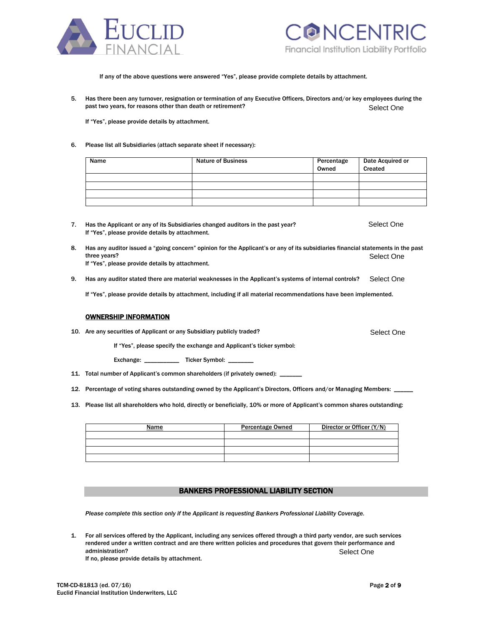



If any of the above questions were answered "Yes", please provide complete details by attachment.

5. Has there been any turnover, resignation or termination of any Executive Officers, Directors and/or key employees during the past two years, for reasons other than death or retirement? Select One

If "Yes", please provide details by attachment.

#### 6. Please list all Subsidiaries (attach separate sheet if necessary):

| Name | <b>Nature of Business</b> | Percentage<br>Owned | Date Acquired or<br>Created |
|------|---------------------------|---------------------|-----------------------------|
|      |                           |                     |                             |
|      |                           |                     |                             |
|      |                           |                     |                             |
|      |                           |                     |                             |

- 7. Has the Applicant or any of its Subsidiaries changed auditors in the past year? If "Yes", please provide details by attachment. Select One
- 8. Has any auditor issued a "going concern" opinion for the Applicant's or any of its subsidiaries financial statements in the past three years? If "Yes", please provide details by attachment. Select One
- 9. Has any auditor stated there are material weaknesses in the Applicant's systems of internal controls? Select One

If "Yes", please provide details by attachment, including if all material recommendations have been implemented.

## OWNERSHIP INFORMATION

10. Are any securities of Applicant or any Subsidiary publicly traded?

If "Yes", please specify the exchange and Applicant's ticker symbol:

Exchange: \_\_\_\_\_\_\_\_\_\_\_\_\_\_\_ Ticker Symbol: \_

- 11. Total number of Applicant's common shareholders (if privately owned): \_
- 12. Percentage of voting shares outstanding owned by the Applicant's Directors, Officers and/or Managing Members:
- 13. Please list all shareholders who hold, directly or beneficially, 10% or more of Applicant's common shares outstanding:

| Name | <b>Percentage Owned</b> | Director or Officer (Y/N) |
|------|-------------------------|---------------------------|
|      |                         |                           |
|      |                         |                           |
|      |                         |                           |
|      |                         |                           |

## BANKERS PROFESSIONAL LIABILITY SECTION

*Please complete this section only if the Applicant is requesting Bankers Professional Liability Coverage.*

1. For all services offered by the Applicant, including any services offered through a third party vendor, are such services rendered under a written contract and are there written policies and procedures that govern their performance and administration? Select One

If no, please provide details by attachment.

Select One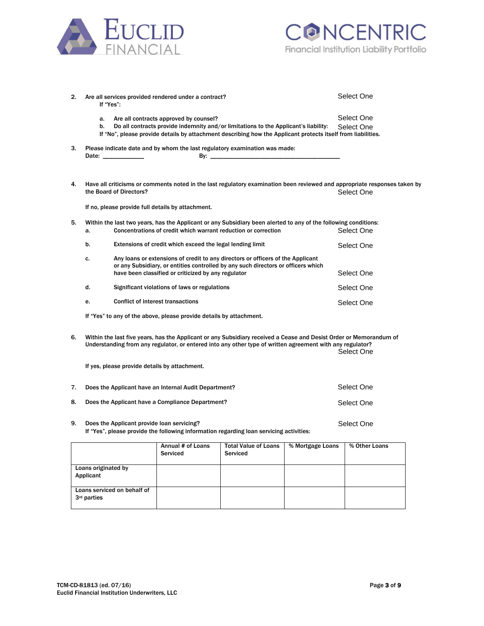



| 2. | If "Yes":                                                      |                                            | Are all services provided rendered under a contract?                |                                                                                                                                                                                                                                 |                  | Select One                                                                                                                              |
|----|----------------------------------------------------------------|--------------------------------------------|---------------------------------------------------------------------|---------------------------------------------------------------------------------------------------------------------------------------------------------------------------------------------------------------------------------|------------------|-----------------------------------------------------------------------------------------------------------------------------------------|
|    | a.<br>b.                                                       |                                            | Are all contracts approved by counsel?                              | Do all contracts provide indemnity and/or limitations to the Applicant's liability:<br>If "No", please provide details by attachment describing how the Applicant protects itself from liabilities.                             |                  | Select One<br>Select One                                                                                                                |
| 3. |                                                                | Date: _____________                        |                                                                     | Please indicate date and by whom the last regulatory examination was made:                                                                                                                                                      |                  |                                                                                                                                         |
| 4. |                                                                | the Board of Directors?                    |                                                                     |                                                                                                                                                                                                                                 |                  | Have all criticisms or comments noted in the last regulatory examination been reviewed and appropriate responses taken by<br>Select One |
|    |                                                                |                                            | If no, please provide full details by attachment.                   |                                                                                                                                                                                                                                 |                  |                                                                                                                                         |
| 5. | a.                                                             |                                            | Concentrations of credit which warrant reduction or correction      | Within the last two years, has the Applicant or any Subsidiary been alerted to any of the following conditions:                                                                                                                 |                  | Select One                                                                                                                              |
|    | b.                                                             |                                            | Extensions of credit which exceed the legal lending limit           |                                                                                                                                                                                                                                 |                  | Select One                                                                                                                              |
|    | c.                                                             |                                            | have been classified or criticized by any regulator                 | Any loans or extensions of credit to any directors or officers of the Applicant<br>or any Subsidiary, or entities controlled by any such directors or officers which                                                            |                  | Select One                                                                                                                              |
|    | d.                                                             |                                            | Significant violations of laws or regulations                       |                                                                                                                                                                                                                                 |                  | Select One                                                                                                                              |
|    | е.                                                             |                                            | <b>Conflict of interest transactions</b>                            |                                                                                                                                                                                                                                 |                  | Select One                                                                                                                              |
|    |                                                                |                                            | If "Yes" to any of the above, please provide details by attachment. |                                                                                                                                                                                                                                 |                  |                                                                                                                                         |
| 6. |                                                                |                                            |                                                                     | Within the last five years, has the Applicant or any Subsidiary received a Cease and Desist Order or Memorandum of<br>Understanding from any regulator, or entered into any other type of written agreement with any regulator? |                  | Select One                                                                                                                              |
|    |                                                                |                                            | If yes, please provide details by attachment.                       |                                                                                                                                                                                                                                 |                  |                                                                                                                                         |
| 7. |                                                                |                                            | Does the Applicant have an Internal Audit Department?               |                                                                                                                                                                                                                                 |                  | Select One                                                                                                                              |
| 8. | Does the Applicant have a Compliance Department?<br>Select One |                                            |                                                                     |                                                                                                                                                                                                                                 |                  |                                                                                                                                         |
| 9. |                                                                | Does the Applicant provide loan servicing? |                                                                     | If "Yes", please provide the following information regarding loan servicing activities:                                                                                                                                         |                  | Select One                                                                                                                              |
|    |                                                                |                                            | Annual # of Loans<br>Serviced                                       | <b>Total Value of Loans</b><br>Serviced                                                                                                                                                                                         | % Mortgage Loans | % Other Loans                                                                                                                           |
|    | Loans originated by<br>Applicant                               |                                            |                                                                     |                                                                                                                                                                                                                                 |                  |                                                                                                                                         |

Loans serviced on behalf of

3rd parties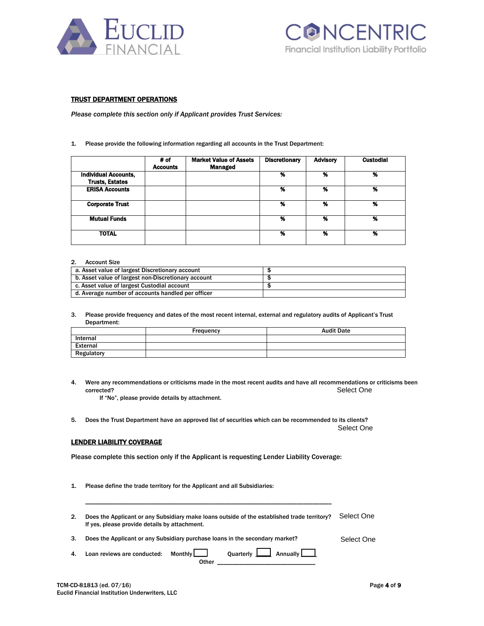



## TRUST DEPARTMENT OPERATIONS

*Please complete this section only if Applicant provides Trust Services:*

#### 1. Please provide the following information regarding all accounts in the Trust Department:

|                             | # of<br><b>Accounts</b> | <b>Market Value of Assets</b><br><b>Managed</b> | <b>Discretionary</b> | <b>Advisory</b> | <b>Custodial</b> |
|-----------------------------|-------------------------|-------------------------------------------------|----------------------|-----------------|------------------|
| <b>Individual Accounts,</b> |                         |                                                 | %                    | %               | %                |
| <b>Trusts, Estates</b>      |                         |                                                 |                      |                 |                  |
| <b>ERISA Accounts</b>       |                         |                                                 | %                    | %               | %                |
|                             |                         |                                                 |                      |                 |                  |
| <b>Corporate Trust</b>      |                         |                                                 | %                    | %               | %                |
|                             |                         |                                                 |                      |                 |                  |
| <b>Mutual Funds</b>         |                         |                                                 | %                    | %               | %                |
|                             |                         |                                                 |                      |                 |                  |
| <b>TOTAL</b>                |                         |                                                 | %                    | %               | %                |
|                             |                         |                                                 |                      |                 |                  |

#### 2. Account Size

| a. Asset value of largest Discretionary account     |  |
|-----------------------------------------------------|--|
| b. Asset value of largest non-Discretionary account |  |
| c. Asset value of largest Custodial account         |  |
| d. Average number of accounts handled per officer   |  |

3. Please provide frequency and dates of the most recent internal, external and regulatory audits of Applicant's Trust Department:

|            | Frequency | <b>Audit Date</b> |
|------------|-----------|-------------------|
| Internal   |           |                   |
| External   |           |                   |
| Regulatory |           |                   |

4. Were any recommendations or criticisms made in the most recent audits and have all recommendations or criticisms been corrected? Selection is a set of the contract of the contract of the contract of the contract of the contract of the contract of the contract of the contract of the contract of the contract of the contract of the contract Select One

If "No", please provide details by attachment.

5. Does the Trust Department have an approved list of securities which can be recommended to its clients?

Select One

## LENDER LIABILITY COVERAGE

Please complete this section only if the Applicant is requesting Lender Liability Coverage:

\_\_\_\_\_\_\_\_\_\_\_\_\_\_\_\_\_\_\_\_\_\_\_\_\_\_\_\_\_\_\_\_\_\_\_\_\_\_\_\_\_\_\_\_\_\_\_\_\_\_\_\_\_\_\_\_\_\_\_\_\_\_\_\_\_\_\_\_\_\_\_\_\_\_\_\_\_\_

1. Please define the trade territory for the Applicant and all Subsidiaries:

2. Does the Applicant or any Subsidiary make loans outside of the established trade territory? If yes, please provide details by attachment. Select One

3. Does the Applicant or any Subsidiary purchase loans in the secondary market? Select One

4. Loan reviews are conducted: Monthly Quarterly Quarterly 1. Annually Other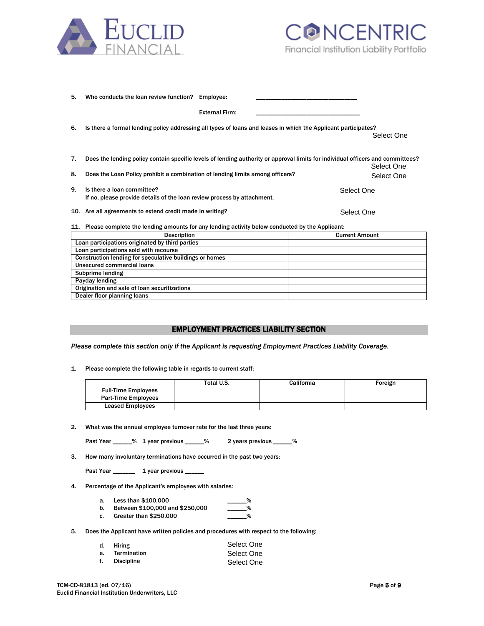



| 5. | Who conducts the loan review function?                                                                                          | Employee:             |            |
|----|---------------------------------------------------------------------------------------------------------------------------------|-----------------------|------------|
|    |                                                                                                                                 | <b>External Firm:</b> |            |
| 6. | Is there a formal lending policy addressing all types of loans and leases in which the Applicant participates?                  |                       |            |
|    |                                                                                                                                 |                       | Select One |
| 7. | Does the lending policy contain specific levels of lending authority or approval limits for individual officers and committees? |                       | Select One |
| 8. | Does the Loan Policy prohibit a combination of lending limits among officers?                                                   |                       | Select One |
| 9. | Is there a loan committee?<br>If no, please provide details of the loan review process by attachment.                           |                       | Select One |
|    | 10. Are all agreements to extend credit made in writing?                                                                        |                       | Select One |
|    | 11. Please complete the lending amounts for any lending activity below conducted by the Applicant:                              |                       |            |

| <b>Description</b>                                      | <b>Current Amount</b> |
|---------------------------------------------------------|-----------------------|
| Loan participations originated by third parties         |                       |
| Loan participations sold with recourse                  |                       |
| Construction lending for speculative buildings or homes |                       |
| Unsecured commercial loans                              |                       |
| Subprime lending                                        |                       |
| Payday lending                                          |                       |
| Origination and sale of loan securitizations            |                       |
| Dealer floor planning loans                             |                       |

## EMPLOYMENT PRACTICES LIABILITY SECTION

*Please complete this section only if the Applicant is requesting Employment Practices Liability Coverage.*

1. Please complete the following table in regards to current staff:

|                            | Total U.S. | California | Foreign |
|----------------------------|------------|------------|---------|
| <b>Full-Time Employees</b> |            |            |         |
| <b>Part-Time Employees</b> |            |            |         |
| <b>Leased Employees</b>    |            |            |         |

2. What was the annual employee turnover rate for the last three years:

| Past Year | % 1 year previous |  | 2 years previous |  |
|-----------|-------------------|--|------------------|--|
|-----------|-------------------|--|------------------|--|

3. How many involuntary terminations have occurred in the past two years:

| Past Year | 1 year previous |
|-----------|-----------------|
|-----------|-----------------|

- 4. Percentage of the Applicant's employees with salaries:
	- a. Less than \$100,000
	- b. Between \$100,000 and \$250,000 \_\_\_\_\_\_%
	- c. Greater than \$250,000 \_\_\_\_\_\_\_%
- 5. Does the Applicant have written policies and procedures with respect to the following:

| d. Hiring      | Select One |
|----------------|------------|
| e. Termination | Select One |
| f. Discipline  | Select One |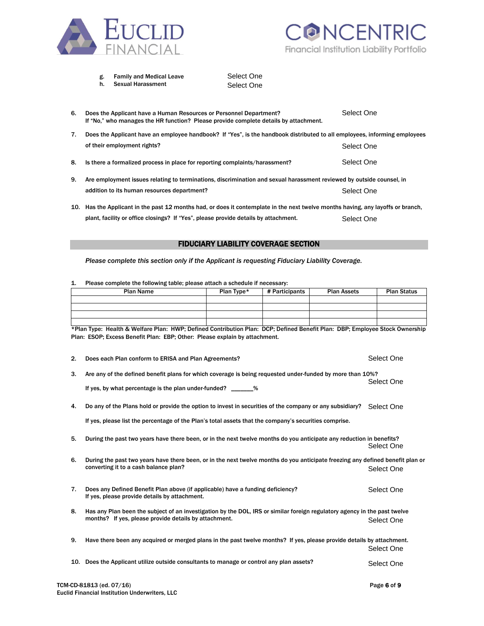



| <b>Family and Medical Leave</b><br>g. | Sel |
|---------------------------------------|-----|
|---------------------------------------|-----|

h. Sexual Harassment

Select One Select One

| 6.  | Does the Applicant have a Human Resources or Personnel Department?<br>If "No," who manages the HR function? Please provide complete details by attachment.                                                |            |                                             |                    | Select One         |  |  |
|-----|-----------------------------------------------------------------------------------------------------------------------------------------------------------------------------------------------------------|------------|---------------------------------------------|--------------------|--------------------|--|--|
| 7.  | Does the Applicant have an employee handbook? If "Yes", is the handbook distributed to all employees, informing employees                                                                                 |            |                                             |                    |                    |  |  |
|     | of their employment rights?                                                                                                                                                                               |            |                                             |                    | Select One         |  |  |
| 8.  | Is there a formalized process in place for reporting complaints/harassment?                                                                                                                               |            |                                             |                    | Select One         |  |  |
| 9.  | Are employment issues relating to terminations, discrimination and sexual harassment reviewed by outside counsel, in                                                                                      |            |                                             |                    |                    |  |  |
|     | addition to its human resources department?                                                                                                                                                               |            |                                             | Select One         |                    |  |  |
| 10. | Has the Applicant in the past 12 months had, or does it contemplate in the next twelve months having, any layoffs or branch,                                                                              |            |                                             |                    |                    |  |  |
|     | plant, facility or office closings? If "Yes", please provide details by attachment.                                                                                                                       |            |                                             | Select One         |                    |  |  |
|     |                                                                                                                                                                                                           |            | <b>FIDUCIARY LIABILITY COVERAGE SECTION</b> |                    |                    |  |  |
| 1.  | Please complete this section only if the Applicant is requesting Fiduciary Liability Coverage.<br>Please complete the following table; please attach a schedule if necessary:                             |            |                                             |                    |                    |  |  |
|     | <b>Plan Name</b>                                                                                                                                                                                          | Plan Type* | # Participants                              | <b>Plan Assets</b> | <b>Plan Status</b> |  |  |
|     |                                                                                                                                                                                                           |            |                                             |                    |                    |  |  |
|     | *Plan Type: Health & Welfare Plan: HWP; Defined Contribution Plan: DCP; Defined Benefit Plan: DBP; Employee Stock Ownership<br>Plan: ESOP; Excess Benefit Plan: EBP; Other: Please explain by attachment. |            |                                             |                    |                    |  |  |
| 2.  | Does each Plan conform to ERISA and Plan Agreements?                                                                                                                                                      |            |                                             |                    | Select One         |  |  |
| 3.  | Are any of the defined benefit plans for which coverage is being requested under-funded by more than 10%?                                                                                                 |            |                                             |                    | Select One         |  |  |

## FIDUCIARY LIABILITY COVERAGE SECTION

| <b>Plan Name</b> | Plan Type* | # Participants | <b>Plan Assets</b> | <b>Plan Status</b> |
|------------------|------------|----------------|--------------------|--------------------|
|                  |            |                |                    |                    |
|                  |            |                |                    |                    |
|                  |            |                |                    |                    |
|                  |            |                |                    |                    |

|    | 2. | Does each Plan conform to ERISA and Plan Agreements?                                                                                                                    | Select One  |
|----|----|-------------------------------------------------------------------------------------------------------------------------------------------------------------------------|-------------|
|    | 3. | Are any of the defined benefit plans for which coverage is being requested under-funded by more than 10%?<br>If yes, by what percentage is the plan under-funded?       | Select One  |
| 4. |    | Do any of the Plans hold or provide the option to invest in securities of the company or any subsidiary?                                                                | Select One  |
|    |    | If yes, please list the percentage of the Plan's total assets that the company's securities comprise.                                                                   |             |
|    | 5. | During the past two years have there been, or in the next twelve months do you anticipate any reduction in benefits?                                                    | Select One  |
| 6. |    | During the past two years have there been, or in the next twelve months do you anticipate freezing any defined benefit plan or<br>converting it to a cash balance plan? | Select One  |
|    | 7. | Does any Defined Benefit Plan above (if applicable) have a funding deficiency?<br>If yes, please provide details by attachment.                                         | Select One  |
|    | 8. | Has any Plan been the subject of an investigation by the DOL, IRS or similar foreign regulatory agency in the past twelve                                               |             |
|    |    | months? If yes, please provide details by attachment.                                                                                                                   | Select One  |
| 9. |    | Have there been any acquired or merged plans in the past twelve months? If yes, please provide details by attachment.                                                   | Select One  |
|    |    | 10. Does the Applicant utilize outside consultants to manage or control any plan assets?                                                                                | Select One  |
|    |    | TCM-CD-81813 (ed. 07/16)                                                                                                                                                | Page 6 of 9 |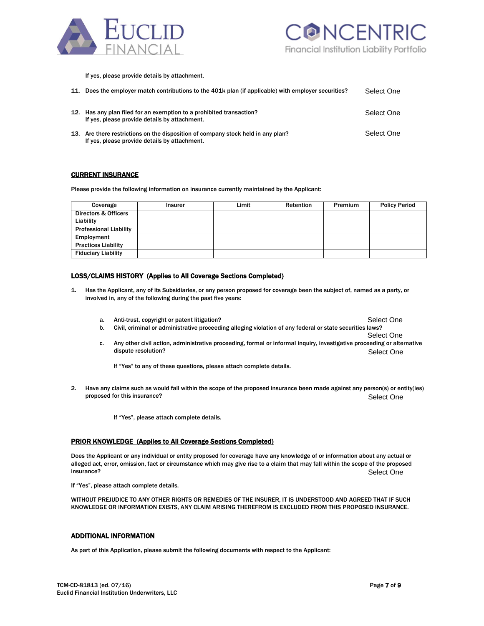

If yes, please provide details by attachment.

| 11. | Does the employer match contributions to the 401k plan (if applicable) with employer securities?                                  | Select One |
|-----|-----------------------------------------------------------------------------------------------------------------------------------|------------|
|     | 12. Has any plan filed for an exemption to a prohibited transaction?<br>If yes, please provide details by attachment.             | Select One |
|     | 13. Are there restrictions on the disposition of company stock held in any plan?<br>If yes, please provide details by attachment. | Select One |

### **CURRENT INSURANCE**

Please provide the following information on insurance currently maintained by the Applicant:

| Coverage                      | <b>Insurer</b> | Limit | Retention | Premium | <b>Policy Period</b> |
|-------------------------------|----------------|-------|-----------|---------|----------------------|
| Directors & Officers          |                |       |           |         |                      |
| Liability                     |                |       |           |         |                      |
| <b>Professional Liability</b> |                |       |           |         |                      |
| Employment                    |                |       |           |         |                      |
| <b>Practices Liability</b>    |                |       |           |         |                      |
| <b>Fiduciary Liability</b>    |                |       |           |         |                      |

## LOSS/CLAIMS HISTORY (Applies to All Coverage Sections Completed)

- 1. Has the Applicant, any of its Subsidiaries, or any person proposed for coverage been the subject of, named as a party, or involved in, any of the following during the past five years:
	- a. Anti-trust, copyright or patent litigation? b. Civil, criminal or administrative proceeding alleging violation of any federal or state securities laws? Select One
	- Select One c. Any other civil action, administrative proceeding, formal or informal inquiry, investigative proceeding or alternative dispute resolution? Select One

If "Yes" to any of these questions, please attach complete details.

- 2. Have any claims such as would fall within the scope of the proposed insurance been made against any person(s) or entity(ies) proposed for this insurance? Select One
	- If "Yes", please attach complete details.

## PRIOR KNOWLEDGE (Applies to All Coverage Sections Completed)

Does the Applicant or any individual or entity proposed for coverage have any knowledge of or information about any actual or alleged act, error, omission, fact or circumstance which may give rise to a claim that may fall within the scope of the proposed insurance? Selection and the contract of the contract of the contract of the contract of the contract of the contract of the contract of the contract of the contract of the contract of the contract of the contract of the c Select One

If "Yes", please attach complete details.

WITHOUT PREJUDICE TO ANY OTHER RIGHTS OR REMEDIES OF THE INSURER, IT IS UNDERSTOOD AND AGREED THAT IF SUCH KNOWLEDGE OR INFORMATION EXISTS, ANY CLAIM ARISING THEREFROM IS EXCLUDED FROM THIS PROPOSED INSURANCE.

#### ADDITIONAL INFORMATION

As part of this Application, please submit the following documents with respect to the Applicant: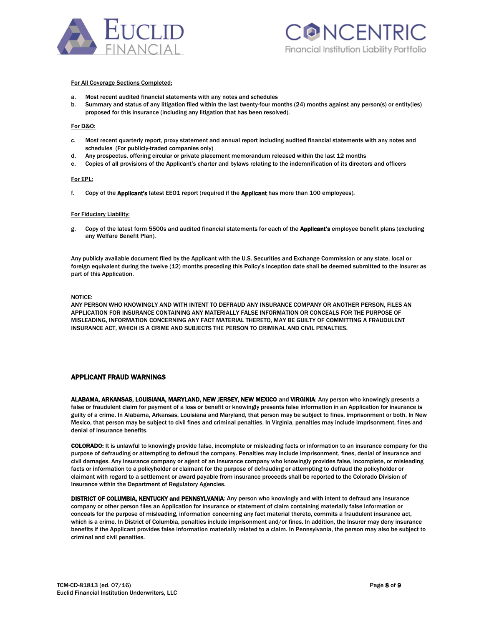



#### For All Coverage Sections Completed:

- a. Most recent audited financial statements with any notes and schedules
- b. Summary and status of any litigation filed within the last twenty-four months (24) months against any person(s) or entity(ies) proposed for this insurance (including any litigation that has been resolved).

#### For D&O:

- c. Most recent quarterly report, proxy statement and annual report including audited financial statements with any notes and schedules (For publicly-traded companies only)
- d. Any prospectus, offering circular or private placement memorandum released within the last 12 months
- e. Copies of all provisions of the Applicant's charter and bylaws relating to the indemnification of its directors and officers

#### For EPL:

f. Copy of the Applicant's latest EEO1 report (required if the Applicant has more than 100 employees).

#### For Fiduciary Liability:

g. Copy of the latest form 5500s and audited financial statements for each of the **Applicant's** employee benefit plans (excluding any Welfare Benefit Plan).

Any publicly available document filed by the Applicant with the U.S. Securities and Exchange Commission or any state, local or foreign equivalent during the twelve (12) months preceding this Policy's inception date shall be deemed submitted to the Insurer as part of this Application.

#### NOTICE:

ANY PERSON WHO KNOWINGLY AND WITH INTENT TO DEFRAUD ANY INSURANCE COMPANY OR ANOTHER PERSON, FILES AN APPLICATION FOR INSURANCE CONTAINING ANY MATERIALLY FALSE INFORMATION OR CONCEALS FOR THE PURPOSE OF MISLEADING, INFORMATION CONCERNING ANY FACT MATERIAL THERETO, MAY BE GUILTY OF COMMITTING A FRAUDULENT INSURANCE ACT, WHICH IS A CRIME AND SUBJECTS THE PERSON TO CRIMINAL AND CIVIL PENALTIES.

### APPLICANT FRAUD WARNINGS

ALABAMA, ARKANSAS, LOUISIANA, MARYLAND, NEW JERSEY, NEW MEXICO and VIRGINIA: Any person who knowingly presents a false or fraudulent claim for payment of a loss or benefit or knowingly presents false information in an Application for insurance is guilty of a crime. In Alabama, Arkansas, Louisiana and Maryland, that person may be subject to fines, imprisonment or both. In New Mexico, that person may be subject to civil fines and criminal penalties. In Virginia, penalties may include imprisonment, fines and denial of insurance benefits.

COLORADO: It is unlawful to knowingly provide false, incomplete or misleading facts or information to an insurance company for the purpose of defrauding or attempting to defraud the company. Penalties may include imprisonment, fines, denial of insurance and civil damages. Any insurance company or agent of an insurance company who knowingly provides false, incomplete, or misleading facts or information to a policyholder or claimant for the purpose of defrauding or attempting to defraud the policyholder or claimant with regard to a settlement or award payable from insurance proceeds shall be reported to the Colorado Division of Insurance within the Department of Regulatory Agencies.

DISTRICT OF COLUMBIA, KENTUCKY and PENNSYLVANIA: Any person who knowingly and with intent to defraud any insurance company or other person files an Application for insurance or statement of claim containing materially false information or conceals for the purpose of misleading, information concerning any fact material thereto, commits a fraudulent insurance act, which is a crime. In District of Columbia, penalties include imprisonment and/or fines. In addition, the Insurer may deny insurance benefits if the Applicant provides false information materially related to a claim. In Pennsylvania, the person may also be subject to criminal and civil penalties.